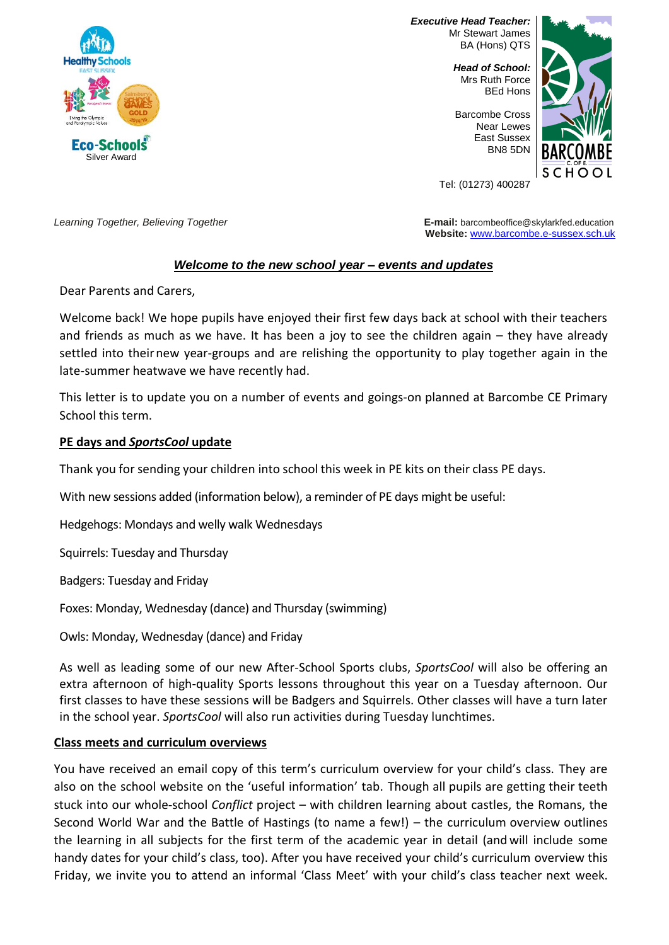

*Executive Head Teacher:* Mr Stewart James BA (Hons) QTS

> *Head of School:* Mrs Ruth Force BEd Hons

Barcombe Cross Near Lewes East Sussex BN8 5DN



Tel: (01273) 400287

*Learning Together, Believing Together* **E-mail:** barcombeoffice@skylarkfed.education **Website:** [www.barcombe.e-sussex.sch.uk](http://www.barcombe.e-sussex.sch.uk/)

# *Welcome to the new school year – events and updates*

Dear Parents and Carers,

Welcome back! We hope pupils have enjoyed their first few days back at school with their teachers and friends as much as we have. It has been a joy to see the children again – they have already settled into theirnew year-groups and are relishing the opportunity to play together again in the late-summer heatwave we have recently had.

This letter is to update you on a number of events and goings-on planned at Barcombe CE Primary School this term.

#### **PE days and** *SportsCool* **update**

Thank you for sending your children into school this week in PE kits on their class PE days.

With new sessions added (information below), a reminder of PE days might be useful:

Hedgehogs: Mondays and welly walk Wednesdays

Squirrels: Tuesday and Thursday

Badgers: Tuesday and Friday

Foxes: Monday, Wednesday (dance) and Thursday (swimming)

Owls: Monday, Wednesday (dance) and Friday

As well as leading some of our new After-School Sports clubs, *SportsCool* will also be offering an extra afternoon of high-quality Sports lessons throughout this year on a Tuesday afternoon. Our first classes to have these sessions will be Badgers and Squirrels. Other classes will have a turn later in the school year. *SportsCool* will also run activities during Tuesday lunchtimes.

## **Class meets and curriculum overviews**

You have received an email copy of this term's curriculum overview for your child's class. They are also on the school website on the 'useful information' tab. Though all pupils are getting their teeth stuck into our whole-school *Conflict* project – with children learning about castles, the Romans, the Second World War and the Battle of Hastings (to name a few!) – the curriculum overview outlines the learning in all subjects for the first term of the academic year in detail (and will include some handy dates for your child's class, too). After you have received your child's curriculum overview this Friday, we invite you to attend an informal 'Class Meet' with your child's class teacher next week.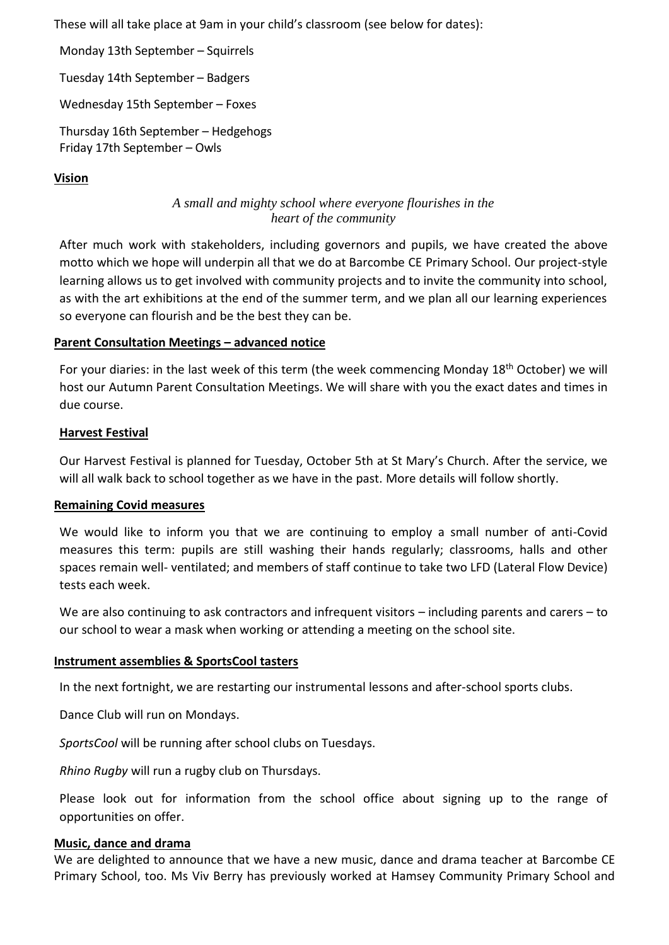These will all take place at 9am in your child's classroom (see below for dates):

Monday 13th September – Squirrels

Tuesday 14th September – Badgers

Wednesday 15th September – Foxes

Thursday 16th September – Hedgehogs Friday 17th September – Owls

## **Vision**

# *A small and mighty school where everyone flourishes in the heart of the community*

After much work with stakeholders, including governors and pupils, we have created the above motto which we hope will underpin all that we do at Barcombe CE Primary School. Our project-style learning allows us to get involved with community projects and to invite the community into school, as with the art exhibitions at the end of the summer term, and we plan all our learning experiences so everyone can flourish and be the best they can be.

## **Parent Consultation Meetings – advanced notice**

For your diaries: in the last week of this term (the week commencing Monday 18<sup>th</sup> October) we will host our Autumn Parent Consultation Meetings. We will share with you the exact dates and times in due course.

#### **Harvest Festival**

Our Harvest Festival is planned for Tuesday, October 5th at St Mary's Church. After the service, we will all walk back to school together as we have in the past. More details will follow shortly.

## **Remaining Covid measures**

We would like to inform you that we are continuing to employ a small number of anti-Covid measures this term: pupils are still washing their hands regularly; classrooms, halls and other spaces remain well- ventilated; and members of staff continue to take two LFD (Lateral Flow Device) tests each week.

We are also continuing to ask contractors and infrequent visitors – including parents and carers – to our school to wear a mask when working or attending a meeting on the school site.

#### **Instrument assemblies & SportsCool tasters**

In the next fortnight, we are restarting our instrumental lessons and after-school sports clubs.

Dance Club will run on Mondays.

*SportsCool* will be running after school clubs on Tuesdays.

*Rhino Rugby* will run a rugby club on Thursdays.

Please look out for information from the school office about signing up to the range of opportunities on offer.

#### **Music, dance and drama**

We are delighted to announce that we have a new music, dance and drama teacher at Barcombe CE Primary School, too. Ms Viv Berry has previously worked at Hamsey Community Primary School and